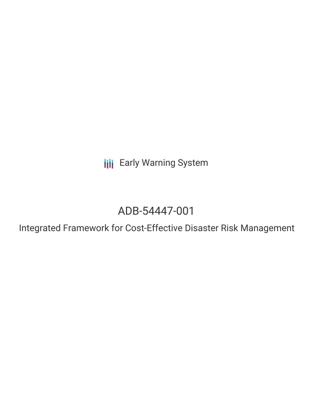**III** Early Warning System

# ADB-54447-001

Integrated Framework for Cost-Effective Disaster Risk Management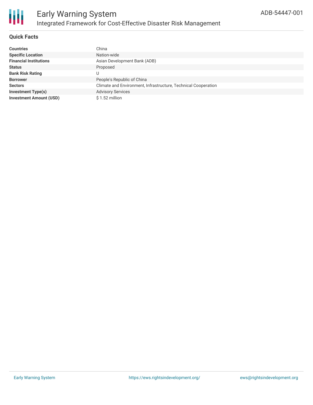

# **Quick Facts**

| <b>Countries</b>               | China                                                          |
|--------------------------------|----------------------------------------------------------------|
| <b>Specific Location</b>       | Nation-wide                                                    |
| <b>Financial Institutions</b>  | Asian Development Bank (ADB)                                   |
| <b>Status</b>                  | Proposed                                                       |
| <b>Bank Risk Rating</b>        | U                                                              |
| <b>Borrower</b>                | People's Republic of China                                     |
| <b>Sectors</b>                 | Climate and Environment, Infrastructure, Technical Cooperation |
| <b>Investment Type(s)</b>      | <b>Advisory Services</b>                                       |
| <b>Investment Amount (USD)</b> | \$1.52 million                                                 |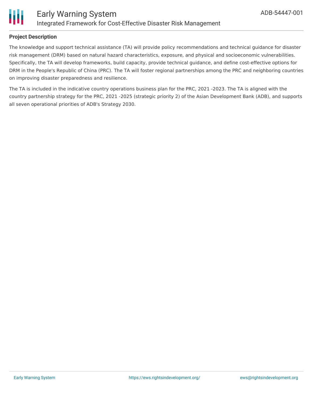

# **Project Description**

The knowledge and support technical assistance (TA) will provide policy recommendations and technical guidance for disaster risk management (DRM) based on natural hazard characteristics, exposure, and physical and socioeconomic vulnerabilities. Specifically, the TA will develop frameworks, build capacity, provide technical guidance, and define cost-effective options for DRM in the People's Republic of China (PRC). The TA will foster regional partnerships among the PRC and neighboring countries on improving disaster preparedness and resilience.

The TA is included in the indicative country operations business plan for the PRC, 2021 -2023. The TA is aligned with the country partnership strategy for the PRC, 2021 -2025 (strategic priority 2) of the Asian Development Bank (ADB), and supports all seven operational priorities of ADB's Strategy 2030.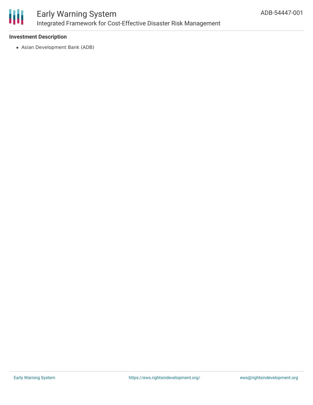

# **Investment Description**

Asian Development Bank (ADB)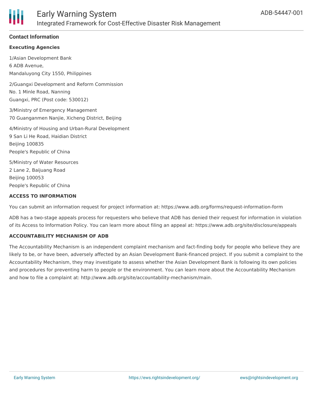# **Contact Information**

#### **Executing Agencies**

1/Asian Development Bank 6 ADB Avenue, Mandaluyong City 1550, Philippines

2/Guangxi Development and Reform Commission No. 1 Minle Road, Nanning Guangxi, PRC (Post code: 530012)

3/Ministry of Emergency Management 70 Guanganmen Nanjie, Xicheng District, Beijing

4/Ministry of Housing and Urban-Rural Development 9 San Li He Road, Haidian District Beijing 100835 People's Republic of China

5/Ministry of Water Resources 2 Lane 2, Baijuang Road Beijing 100053 People's Republic of China

#### **ACCESS TO INFORMATION**

You can submit an information request for project information at: https://www.adb.org/forms/request-information-form

ADB has a two-stage appeals process for requesters who believe that ADB has denied their request for information in violation of its Access to Information Policy. You can learn more about filing an appeal at: https://www.adb.org/site/disclosure/appeals

#### **ACCOUNTABILITY MECHANISM OF ADB**

The Accountability Mechanism is an independent complaint mechanism and fact-finding body for people who believe they are likely to be, or have been, adversely affected by an Asian Development Bank-financed project. If you submit a complaint to the Accountability Mechanism, they may investigate to assess whether the Asian Development Bank is following its own policies and procedures for preventing harm to people or the environment. You can learn more about the Accountability Mechanism and how to file a complaint at: http://www.adb.org/site/accountability-mechanism/main.